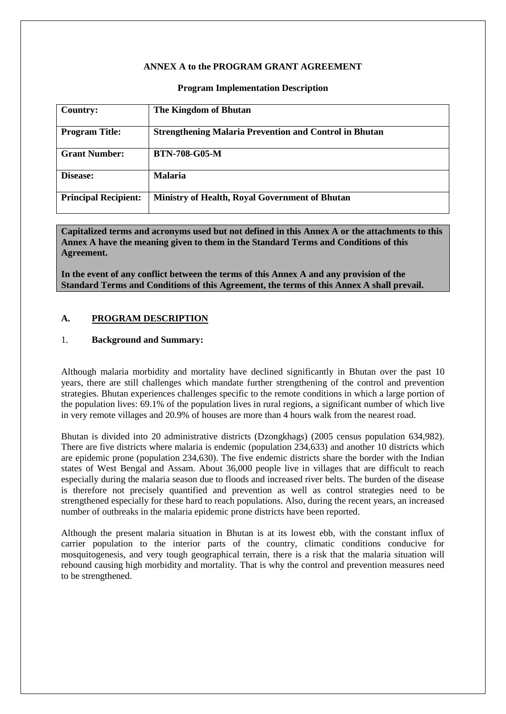#### **ANNEX A to the PROGRAM GRANT AGREEMENT**

#### **Program Implementation Description**

| <b>Country:</b>             | The Kingdom of Bhutan                                         |
|-----------------------------|---------------------------------------------------------------|
| <b>Program Title:</b>       | <b>Strengthening Malaria Prevention and Control in Bhutan</b> |
| <b>Grant Number:</b>        | <b>BTN-708-G05-M</b>                                          |
| Disease:                    | <b>Malaria</b>                                                |
| <b>Principal Recipient:</b> | <b>Ministry of Health, Royal Government of Bhutan</b>         |

**Capitalized terms and acronyms used but not defined in this Annex A or the attachments to this Annex A have the meaning given to them in the Standard Terms and Conditions of this Agreement.**

**In the event of any conflict between the terms of this Annex A and any provision of the Standard Terms and Conditions of this Agreement, the terms of this Annex A shall prevail.**

#### **A. PROGRAM DESCRIPTION**

#### 1. **Background and Summary:**

Although malaria morbidity and mortality have declined significantly in Bhutan over the past 10 years, there are still challenges which mandate further strengthening of the control and prevention strategies. Bhutan experiences challenges specific to the remote conditions in which a large portion of the population lives: 69.1% of the population lives in rural regions, a significant number of which live in very remote villages and 20.9% of houses are more than 4 hours walk from the nearest road.

Bhutan is divided into 20 administrative districts (Dzongkhags) (2005 census population 634,982). There are five districts where malaria is endemic (population 234,633) and another 10 districts which are epidemic prone (population 234,630). The five endemic districts share the border with the Indian states of West Bengal and Assam. About 36,000 people live in villages that are difficult to reach especially during the malaria season due to floods and increased river belts. The burden of the disease is therefore not precisely quantified and prevention as well as control strategies need to be strengthened especially for these hard to reach populations. Also, during the recent years, an increased number of outbreaks in the malaria epidemic prone districts have been reported.

Although the present malaria situation in Bhutan is at its lowest ebb, with the constant influx of carrier population to the interior parts of the country, climatic conditions conducive for mosquitogenesis, and very tough geographical terrain, there is a risk that the malaria situation will rebound causing high morbidity and mortality. That is why the control and prevention measures need to be strengthened.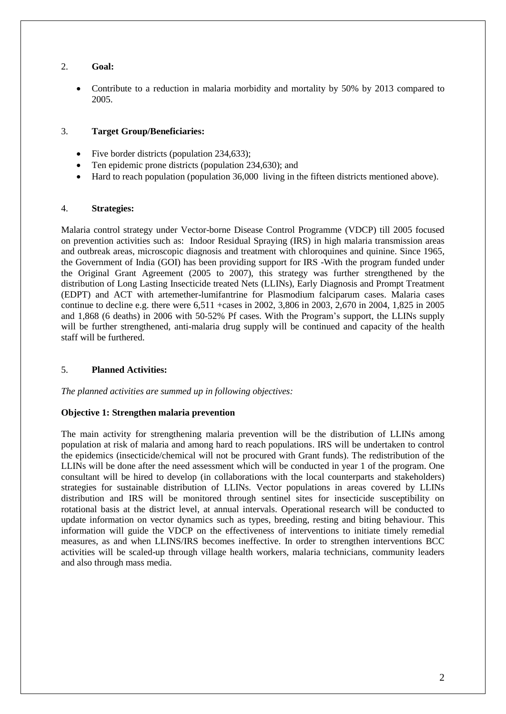# 2. **Goal:**

 Contribute to a reduction in malaria morbidity and mortality by 50% by 2013 compared to 2005.

### 3. **Target Group/Beneficiaries:**

- Five border districts (population 234,633):
- Ten epidemic prone districts (population 234,630); and
- Hard to reach population (population 36,000 living in the fifteen districts mentioned above).

### 4. **Strategies:**

Malaria control strategy under Vector-borne Disease Control Programme (VDCP) till 2005 focused on prevention activities such as: Indoor Residual Spraying (IRS) in high malaria transmission areas and outbreak areas, microscopic diagnosis and treatment with chloroquines and quinine. Since 1965, the Government of India (GOI) has been providing support for IRS -With the program funded under the Original Grant Agreement (2005 to 2007), this strategy was further strengthened by the distribution of Long Lasting Insecticide treated Nets (LLINs), Early Diagnosis and Prompt Treatment (EDPT) and ACT with artemether-lumifantrine for Plasmodium falciparum cases. Malaria cases continue to decline e.g. there were 6,511 +cases in 2002, 3,806 in 2003, 2,670 in 2004, 1,825 in 2005 and 1,868 (6 deaths) in 2006 with 50-52% Pf cases. With the Program's support, the LLINs supply will be further strengthened, anti-malaria drug supply will be continued and capacity of the health staff will be furthered.

#### 5. **Planned Activities:**

*The planned activities are summed up in following objectives:*

#### **Objective 1: Strengthen malaria prevention**

The main activity for strengthening malaria prevention will be the distribution of LLINs among population at risk of malaria and among hard to reach populations. IRS will be undertaken to control the epidemics (insecticide/chemical will not be procured with Grant funds). The redistribution of the LLINs will be done after the need assessment which will be conducted in year 1 of the program. One consultant will be hired to develop (in collaborations with the local counterparts and stakeholders) strategies for sustainable distribution of LLINs. Vector populations in areas covered by LLINs distribution and IRS will be monitored through sentinel sites for insecticide susceptibility on rotational basis at the district level, at annual intervals. Operational research will be conducted to update information on vector dynamics such as types, breeding, resting and biting behaviour. This information will guide the VDCP on the effectiveness of interventions to initiate timely remedial measures, as and when LLINS/IRS becomes ineffective. In order to strengthen interventions BCC activities will be scaled-up through village health workers, malaria technicians, community leaders and also through mass media.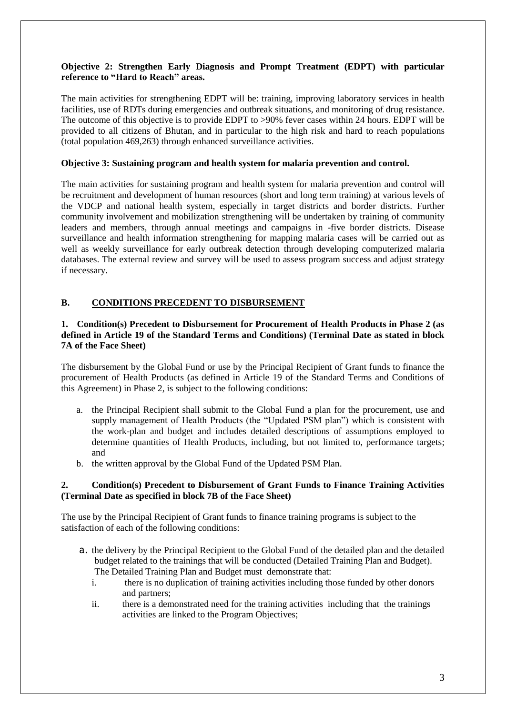# **Objective 2: Strengthen Early Diagnosis and Prompt Treatment (EDPT) with particular reference to "Hard to Reach" areas.**

The main activities for strengthening EDPT will be: training, improving laboratory services in health facilities, use of RDTs during emergencies and outbreak situations, and monitoring of drug resistance. The outcome of this objective is to provide EDPT to >90% fever cases within 24 hours. EDPT will be provided to all citizens of Bhutan, and in particular to the high risk and hard to reach populations (total population 469,263) through enhanced surveillance activities.

### **Objective 3: Sustaining program and health system for malaria prevention and control.**

The main activities for sustaining program and health system for malaria prevention and control will be recruitment and development of human resources (short and long term training) at various levels of the VDCP and national health system, especially in target districts and border districts. Further community involvement and mobilization strengthening will be undertaken by training of community leaders and members, through annual meetings and campaigns in -five border districts. Disease surveillance and health information strengthening for mapping malaria cases will be carried out as well as weekly surveillance for early outbreak detection through developing computerized malaria databases. The external review and survey will be used to assess program success and adjust strategy if necessary.

# **B. CONDITIONS PRECEDENT TO DISBURSEMENT**

### **1. Condition(s) Precedent to Disbursement for Procurement of Health Products in Phase 2 (as defined in Article 19 of the Standard Terms and Conditions) (Terminal Date as stated in block 7A of the Face Sheet)**

The disbursement by the Global Fund or use by the Principal Recipient of Grant funds to finance the procurement of Health Products (as defined in Article 19 of the Standard Terms and Conditions of this Agreement) in Phase 2, is subject to the following conditions:

- a. the Principal Recipient shall submit to the Global Fund a plan for the procurement, use and supply management of Health Products (the "Updated PSM plan") which is consistent with the work-plan and budget and includes detailed descriptions of assumptions employed to determine quantities of Health Products, including, but not limited to, performance targets; and
- b. the written approval by the Global Fund of the Updated PSM Plan.

### **2. Condition(s) Precedent to Disbursement of Grant Funds to Finance Training Activities (Terminal Date as specified in block 7B of the Face Sheet)**

The use by the Principal Recipient of Grant funds to finance training programs is subject to the satisfaction of each of the following conditions:

- a. the delivery by the Principal Recipient to the Global Fund of the detailed plan and the detailed budget related to the trainings that will be conducted (Detailed Training Plan and Budget). The Detailed Training Plan and Budget must demonstrate that:
	- i. there is no duplication of training activities including those funded by other donors and partners;
	- ii. there is a demonstrated need for the training activities including that the trainings activities are linked to the Program Objectives;